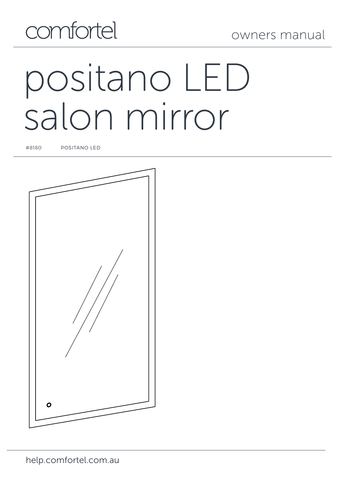

# positano LED salon mirror

#8180 POSITANO LED

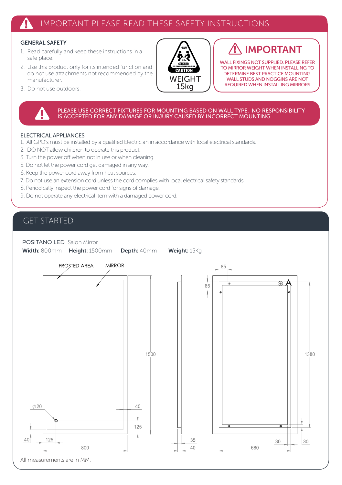# IMPORTANT PLEASE READ THESE SAFETY INSTRUCTIONS

# GENERAL SAFETY

- 1. Read carefully and keep these instructions in a safe place.
- 2. Use this product only for its intended function and do not use attachments not recommended by the manufacturer.
- **WEIGHT** 15kg

# IMPORTANT

WALL FIXINGS NOT SUPPLIED. PLEASE REFER TO MIRROR WEIGHT WHEN INSTALLING TO DETERMINE BEST PRACTICE MOUNTING. WALL STUDS AND NOGGINS ARE NOT REQUIRED WHEN INSTALLING MIRRORS

A

30

1380

30

3. Do not use outdoors.

PLEASE USE CORRECT FIXTURES FOR MOUNTING BASED ON WALL TYPE. NO RESPONSIBILITY<br>IS ACCEPTED FOR ANY DAMAGE OR INJURY CAUSED BY INCORRECT MOUNTING.

## ELECTRICAL APPLIANCES

- 1. All GPO's must be installed by a qualified Electrician in accordance with local electrical standards.
- 2. DO NOT allow children to operate this product.
- 3. Turn the power off when not in use or when cleaning.
- 5. Do not let the power cord get damaged in any way.
- 6. Keep the power cord away from heat sources.
- 7. Do not use an extension cord unless the cord complies with local electrical safety standards.
- 8. Periodically inspect the power cord for signs of damage.
- 9. Do not operate any electrical item with a damaged power cord.

# GET STARTED

POSITANO LED Salon Mirror

Width: 800mm Height: 1500mm Depth: 40mm Weight: 15Kg

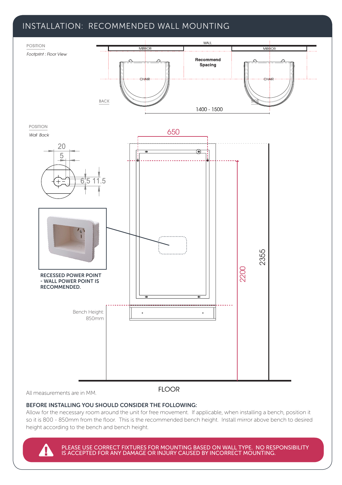# INSTALLATION: RECOMMENDED WALL MOUNTING



All measurements are in MM.

**FLOOR** 

# BEFORE INSTALLING YOU SHOULD CONSIDER THE FOLLOWING:

Allow for the necessary room around the unit for free movement. If applicable, when installing a bench, position it so it is 800 - 850mm from the floor. This is the recommended bench height. Install mirror above bench to desired height according to the bench and bench height.

PLEASE USE CORRECT FIXTURES FOR MOUNTING BASED ON WALL TYPE. NO RESPONSIBILITY IS ACCEPTED FOR ANY DAMAGE OR INJURY CAUSED BY INCORRECT MOUNTING.